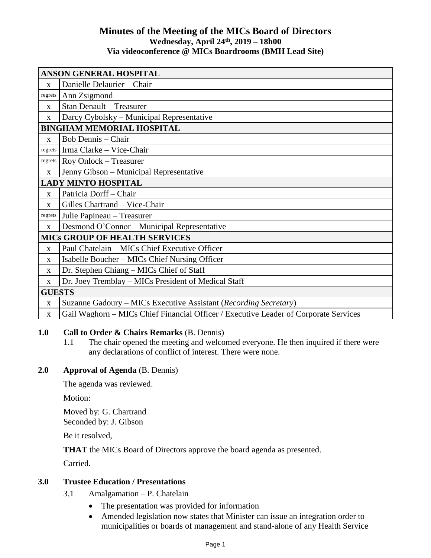## **Minutes of the Meeting of the MICs Board of Directors Wednesday, April 24th , 2019 – 18h00 Via videoconference @ MICs Boardrooms (BMH Lead Site)**

| <b>ANSON GENERAL HOSPITAL</b>        |                                                                                      |
|--------------------------------------|--------------------------------------------------------------------------------------|
| $\mathbf{x}$                         | Danielle Delaurier - Chair                                                           |
| regrets                              | Ann Zsigmond                                                                         |
| X                                    | <b>Stan Denault - Treasurer</b>                                                      |
| X                                    | Darcy Cybolsky – Municipal Representative                                            |
| <b>BINGHAM MEMORIAL HOSPITAL</b>     |                                                                                      |
| $\mathbf{x}$                         | <b>Bob Dennis</b> – Chair                                                            |
| regrets                              | Irma Clarke - Vice-Chair                                                             |
| regrets                              | Roy Onlock - Treasurer                                                               |
| $\mathbf{X}$                         | Jenny Gibson - Municipal Representative                                              |
| <b>LADY MINTO HOSPITAL</b>           |                                                                                      |
| $\mathbf{x}$                         | Patricia Dorff - Chair                                                               |
| $\mathbf{X}$                         | Gilles Chartrand - Vice-Chair                                                        |
| regrets                              | Julie Papineau - Treasurer                                                           |
| X                                    | Desmond O'Connor – Municipal Representative                                          |
| <b>MICS GROUP OF HEALTH SERVICES</b> |                                                                                      |
| $\mathbf{x}$                         | Paul Chatelain – MICs Chief Executive Officer                                        |
| X                                    | Isabelle Boucher - MICs Chief Nursing Officer                                        |
| $\mathbf{x}$                         | Dr. Stephen Chiang – MICs Chief of Staff                                             |
| $\mathbf{x}$                         | Dr. Joey Tremblay – MICs President of Medical Staff                                  |
| <b>GUESTS</b>                        |                                                                                      |
| X                                    | Suzanne Gadoury – MICs Executive Assistant (Recording Secretary)                     |
| $\mathbf{x}$                         | Gail Waghorn - MICs Chief Financial Officer / Executive Leader of Corporate Services |

## **1.0 Call to Order & Chairs Remarks** (B. Dennis)

1.1 The chair opened the meeting and welcomed everyone. He then inquired if there were any declarations of conflict of interest. There were none.

## **2.0 Approval of Agenda** (B. Dennis)

The agenda was reviewed.

Motion:

Moved by: G. Chartrand Seconded by: J. Gibson

Be it resolved,

**THAT** the MICs Board of Directors approve the board agenda as presented.

Carried.

## **3.0 Trustee Education / Presentations**

- 3.1 Amalgamation P. Chatelain
	- The presentation was provided for information
	- Amended legislation now states that Minister can issue an integration order to municipalities or boards of management and stand-alone of any Health Service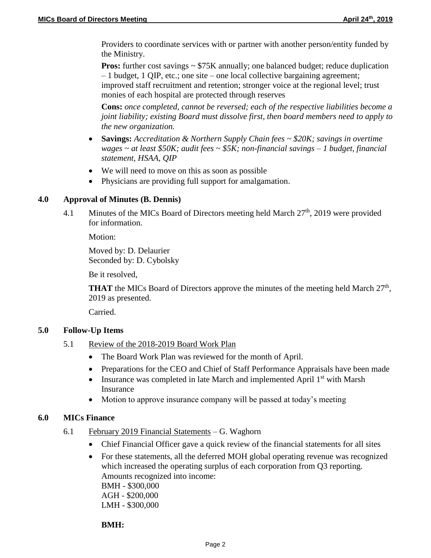Providers to coordinate services with or partner with another person/entity funded by the Ministry.

**Pros:** further cost savings  $\sim$  \$75K annually; one balanced budget; reduce duplication – 1 budget, 1 QIP, etc.; one site – one local collective bargaining agreement; improved staff recruitment and retention; stronger voice at the regional level; trust monies of each hospital are protected through reserves

**Cons:** *once completed, cannot be reversed; each of the respective liabilities become a joint liability; existing Board must dissolve first, then board members need to apply to the new organization.*

- **Savings:** *Accreditation & Northern Supply Chain fees ~ \$20K; savings in overtime wages ~ at least \$50K; audit fees ~ \$5K; non-financial savings – 1 budget, financial statement, HSAA, QIP*
- We will need to move on this as soon as possible
- Physicians are providing full support for amalgamation.

## **4.0 Approval of Minutes (B. Dennis)**

4.1 Minutes of the MICs Board of Directors meeting held March 27<sup>th</sup>, 2019 were provided for information.

Motion:

Moved by: D. Delaurier Seconded by: D. Cybolsky

Be it resolved,

**THAT** the MICs Board of Directors approve the minutes of the meeting held March 27<sup>th</sup>, 2019 as presented.

Carried.

## **5.0 Follow-Up Items**

- 5.1 Review of the 2018-2019 Board Work Plan
	- The Board Work Plan was reviewed for the month of April.
	- Preparations for the CEO and Chief of Staff Performance Appraisals have been made
	- Insurance was completed in late March and implemented April  $1<sup>st</sup>$  with Marsh Insurance
	- Motion to approve insurance company will be passed at today's meeting

### **6.0 MICs Finance**

- 6.1 February 2019 Financial Statements G. Waghorn
	- Chief Financial Officer gave a quick review of the financial statements for all sites
	- For these statements, all the deferred MOH global operating revenue was recognized which increased the operating surplus of each corporation from Q3 reporting. Amounts recognized into income: BMH - \$300,000 AGH - \$200,000 LMH - \$300,000

**BMH:**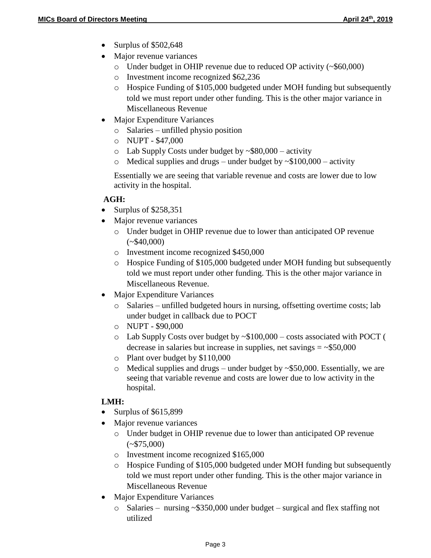- Surplus of \$502,648
- Major revenue variances
	- o Under budget in OHIP revenue due to reduced OP activity (~\$60,000)
	- o Investment income recognized \$62,236
	- o Hospice Funding of \$105,000 budgeted under MOH funding but subsequently told we must report under other funding. This is the other major variance in Miscellaneous Revenue
- Major Expenditure Variances
	- o Salaries unfilled physio position
	- o NUPT \$47,000
	- $\circ$  Lab Supply Costs under budget by  $\sim$ \$80,000 activity
	- $\circ$  Medical supplies and drugs under budget by  $\sim $100,000$  activity

Essentially we are seeing that variable revenue and costs are lower due to low activity in the hospital.

## **AGH:**

- Surplus of  $$258,351$
- Major revenue variances
	- o Under budget in OHIP revenue due to lower than anticipated OP revenue  $(*\$40,000)$
	- o Investment income recognized \$450,000
	- o Hospice Funding of \$105,000 budgeted under MOH funding but subsequently told we must report under other funding. This is the other major variance in Miscellaneous Revenue.
- Major Expenditure Variances
	- o Salaries unfilled budgeted hours in nursing, offsetting overtime costs; lab under budget in callback due to POCT
	- o NUPT \$90,000
	- o Lab Supply Costs over budget by ~\$100,000 costs associated with POCT ( decrease in salaries but increase in supplies, net savings  $=$  ~\$50,000
	- o Plant over budget by \$110,000
	- $\circ$  Medical supplies and drugs under budget by ~\$50,000. Essentially, we are seeing that variable revenue and costs are lower due to low activity in the hospital.

# **LMH:**

- $\bullet$  Surplus of \$615,899
- Major revenue variances
	- o Under budget in OHIP revenue due to lower than anticipated OP revenue  $(*\$75,000)$
	- o Investment income recognized \$165,000
	- o Hospice Funding of \$105,000 budgeted under MOH funding but subsequently told we must report under other funding. This is the other major variance in Miscellaneous Revenue
- Major Expenditure Variances
	- o Salaries nursing ~\$350,000 under budget surgical and flex staffing not utilized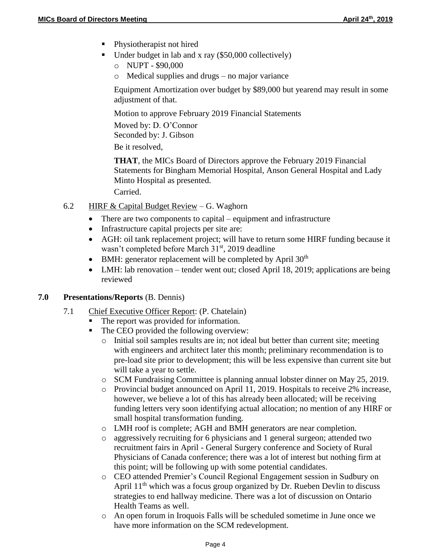- Physiotherapist not hired
- Under budget in lab and x ray  $(\$50,000$  collectively)
	- o NUPT \$90,000
	- o Medical supplies and drugs no major variance

Equipment Amortization over budget by \$89,000 but yearend may result in some adjustment of that.

Motion to approve February 2019 Financial Statements Moved by: D. O'Connor Seconded by: J. Gibson

Be it resolved,

**THAT**, the MICs Board of Directors approve the February 2019 Financial Statements for Bingham Memorial Hospital, Anson General Hospital and Lady Minto Hospital as presented.

Carried.

- 6.2 HIRF & Capital Budget Review G. Waghorn
	- There are two components to capital equipment and infrastructure
	- Infrastructure capital projects per site are:
	- AGH: oil tank replacement project; will have to return some HIRF funding because it wasn't completed before March 31<sup>st</sup>, 2019 deadline
	- $\bullet$  BMH: generator replacement will be completed by April 30<sup>th</sup>
	- LMH: lab renovation tender went out; closed April 18, 2019; applications are being reviewed

### **7.0 Presentations/Reports** (B. Dennis)

- 7.1 Chief Executive Officer Report: (P. Chatelain)
	- The report was provided for information.
	- The CEO provided the following overview:
		- o Initial soil samples results are in; not ideal but better than current site; meeting with engineers and architect later this month; preliminary recommendation is to pre-load site prior to development; this will be less expensive than current site but will take a year to settle.
		- o SCM Fundraising Committee is planning annual lobster dinner on May 25, 2019.
		- o Provincial budget announced on April 11, 2019. Hospitals to receive 2% increase, however, we believe a lot of this has already been allocated; will be receiving funding letters very soon identifying actual allocation; no mention of any HIRF or small hospital transformation funding.
		- o LMH roof is complete; AGH and BMH generators are near completion.
		- o aggressively recruiting for 6 physicians and 1 general surgeon; attended two recruitment fairs in April - General Surgery conference and Society of Rural Physicians of Canada conference; there was a lot of interest but nothing firm at this point; will be following up with some potential candidates.
		- o CEO attended Premier's Council Regional Engagement session in Sudbury on April 11<sup>th</sup> which was a focus group organized by Dr. Rueben Devlin to discuss strategies to end hallway medicine. There was a lot of discussion on Ontario Health Teams as well.
		- o An open forum in Iroquois Falls will be scheduled sometime in June once we have more information on the SCM redevelopment.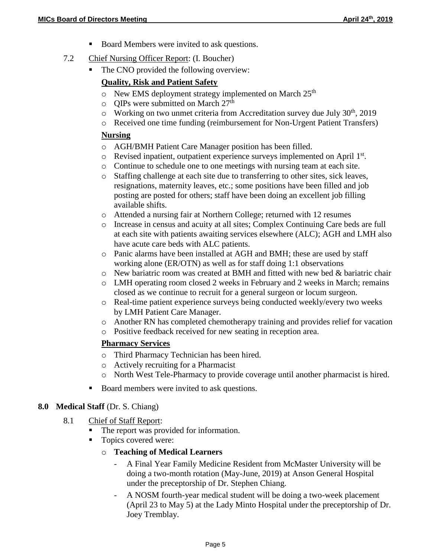- Board Members were invited to ask questions.
- 7.2 Chief Nursing Officer Report: (I. Boucher)
	- The CNO provided the following overview:

## **Quality, Risk and Patient Safety**

- $\circ$  New EMS deployment strategy implemented on March 25<sup>th</sup>
- $\circ$  QIPs were submitted on March 27<sup>th</sup>
- $\circ$  Working on two unmet criteria from Accreditation survey due July 30<sup>th</sup>, 2019
- o Received one time funding (reimbursement for Non-Urgent Patient Transfers)

### **Nursing**

- o AGH/BMH Patient Care Manager position has been filled.
- o Revised inpatient, outpatient experience surveys implemented on April 1st.
- o Continue to schedule one to one meetings with nursing team at each site.
- o Staffing challenge at each site due to transferring to other sites, sick leaves, resignations, maternity leaves, etc.; some positions have been filled and job posting are posted for others; staff have been doing an excellent job filling available shifts.
- o Attended a nursing fair at Northern College; returned with 12 resumes
- o Increase in census and acuity at all sites; Complex Continuing Care beds are full at each site with patients awaiting services elsewhere (ALC); AGH and LMH also have acute care beds with ALC patients.
- o Panic alarms have been installed at AGH and BMH; these are used by staff working alone (ER/OTN) as well as for staff doing 1:1 observations
- $\circ$  New bariatric room was created at BMH and fitted with new bed & bariatric chair
- o LMH operating room closed 2 weeks in February and 2 weeks in March; remains closed as we continue to recruit for a general surgeon or locum surgeon.
- o Real-time patient experience surveys being conducted weekly/every two weeks by LMH Patient Care Manager.
- o Another RN has completed chemotherapy training and provides relief for vacation
- o Positive feedback received for new seating in reception area.

## **Pharmacy Services**

- o Third Pharmacy Technician has been hired.
- o Actively recruiting for a Pharmacist
- o North West Tele-Pharmacy to provide coverage until another pharmacist is hired.
- Board members were invited to ask questions.

## **8.0 Medical Staff** (Dr. S. Chiang)

- 8.1 Chief of Staff Report:
	- The report was provided for information.
	- Topics covered were:
		- o **Teaching of Medical Learners**
			- A Final Year Family Medicine Resident from McMaster University will be doing a two-month rotation (May-June, 2019) at Anson General Hospital under the preceptorship of Dr. Stephen Chiang.
			- A NOSM fourth-year medical student will be doing a two-week placement (April 23 to May 5) at the Lady Minto Hospital under the preceptorship of Dr. Joey Tremblay.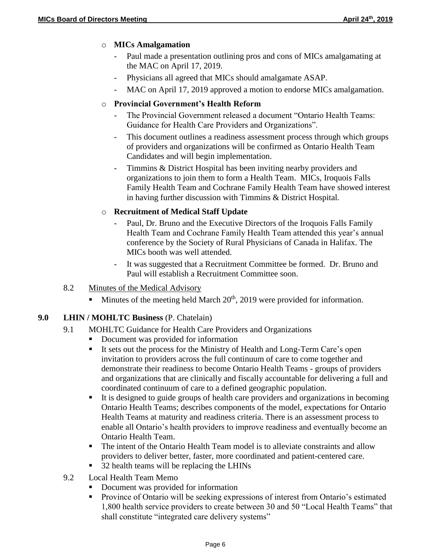## o **MICs Amalgamation**

- Paul made a presentation outlining pros and cons of MICs amalgamating at the MAC on April 17, 2019.
- Physicians all agreed that MICs should amalgamate ASAP.
- MAC on April 17, 2019 approved a motion to endorse MICs amalgamation.

# o **Provincial Government's Health Reform**

- The Provincial Government released a document "Ontario Health Teams: Guidance for Health Care Providers and Organizations".
- This document outlines a readiness assessment process through which groups of providers and organizations will be confirmed as Ontario Health Team Candidates and will begin implementation.
- Timmins & District Hospital has been inviting nearby providers and organizations to join them to form a Health Team. MICs, Iroquois Falls Family Health Team and Cochrane Family Health Team have showed interest in having further discussion with Timmins & District Hospital.

## o **Recruitment of Medical Staff Update**

- Paul, Dr. Bruno and the Executive Directors of the Iroquois Falls Family Health Team and Cochrane Family Health Team attended this year's annual conference by the Society of Rural Physicians of Canada in Halifax. The MICs booth was well attended.
- It was suggested that a Recruitment Committee be formed. Dr. Bruno and Paul will establish a Recruitment Committee soon.

## 8.2 Minutes of the Medical Advisory

Minutes of the meeting held March  $20<sup>th</sup>$ , 2019 were provided for information.

## **9.0 LHIN / MOHLTC Business** (P. Chatelain)

- 9.1 MOHLTC Guidance for Health Care Providers and Organizations
	- Document was provided for information
	- It sets out the process for the Ministry of Health and Long-Term Care's open invitation to providers across the full continuum of care to come together and demonstrate their readiness to become Ontario Health Teams - groups of providers and organizations that are clinically and fiscally accountable for delivering a full and coordinated continuum of care to a defined geographic population.
	- It is designed to guide groups of health care providers and organizations in becoming Ontario Health Teams; describes components of the model, expectations for Ontario Health Teams at maturity and readiness criteria. There is an assessment process to enable all Ontario's health providers to improve readiness and eventually become an Ontario Health Team.
	- The intent of the Ontario Health Team model is to alleviate constraints and allow providers to deliver better, faster, more coordinated and patient-centered care.
	- 32 health teams will be replacing the LHINs
- 9.2 Local Health Team Memo
	- Document was provided for information
	- Province of Ontario will be seeking expressions of interest from Ontario's estimated 1,800 health service providers to create between 30 and 50 "Local Health Teams" that shall constitute "integrated care delivery systems"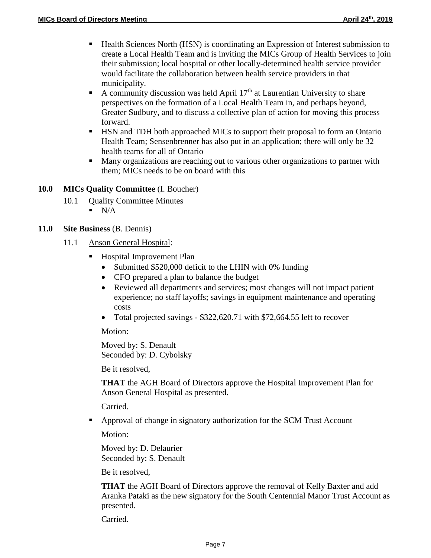- **Health Sciences North (HSN) is coordinating an Expression of Interest submission to** create a Local Health Team and is inviting the MICs Group of Health Services to join their submission; local hospital or other locally-determined health service provider would facilitate the collaboration between health service providers in that municipality.
- A community discussion was held April  $17<sup>th</sup>$  at Laurentian University to share perspectives on the formation of a Local Health Team in, and perhaps beyond, Greater Sudbury, and to discuss a collective plan of action for moving this process forward.
- HSN and TDH both approached MICs to support their proposal to form an Ontario Health Team; Sensenbrenner has also put in an application; there will only be 32 health teams for all of Ontario
- Many organizations are reaching out to various other organizations to partner with them; MICs needs to be on board with this

## **10.0 MICs Quality Committee** (I. Boucher)

- 10.1 Quality Committee Minutes
	- $\blacksquare$  N/A
- **11.0 Site Business** (B. Dennis)
	- 11.1 Anson General Hospital:
		- Hospital Improvement Plan
			- Submitted \$520,000 deficit to the LHIN with 0% funding
			- CFO prepared a plan to balance the budget
			- Reviewed all departments and services; most changes will not impact patient experience; no staff layoffs; savings in equipment maintenance and operating costs
			- Total projected savings \$322,620.71 with \$72,664.55 left to recover

Motion:

Moved by: S. Denault Seconded by: D. Cybolsky

Be it resolved,

**THAT** the AGH Board of Directors approve the Hospital Improvement Plan for Anson General Hospital as presented.

Carried.

 Approval of change in signatory authorization for the SCM Trust Account Motion:

Moved by: D. Delaurier Seconded by: S. Denault

Be it resolved,

**THAT** the AGH Board of Directors approve the removal of Kelly Baxter and add Aranka Pataki as the new signatory for the South Centennial Manor Trust Account as presented.

Carried.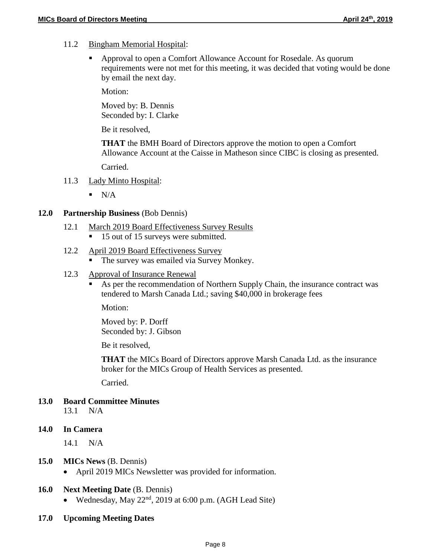- 11.2 Bingham Memorial Hospital:
	- Approval to open a Comfort Allowance Account for Rosedale. As quorum requirements were not met for this meeting, it was decided that voting would be done by email the next day.

Motion:

Moved by: B. Dennis Seconded by: I. Clarke

Be it resolved,

**THAT** the BMH Board of Directors approve the motion to open a Comfort Allowance Account at the Caisse in Matheson since CIBC is closing as presented. Carried.

- 11.3 Lady Minto Hospital:
	- $\blacksquare$  N/A

### **12.0 Partnership Business** (Bob Dennis)

- 12.1 March 2019 Board Effectiveness Survey Results
	- 15 out of 15 surveys were submitted.

### 12.2 April 2019 Board Effectiveness Survey

The survey was emailed via Survey Monkey.

### 12.3 Approval of Insurance Renewal

 As per the recommendation of Northern Supply Chain, the insurance contract was tendered to Marsh Canada Ltd.; saving \$40,000 in brokerage fees

Motion:

Moved by: P. Dorff Seconded by: J. Gibson

Be it resolved,

**THAT** the MICs Board of Directors approve Marsh Canada Ltd. as the insurance broker for the MICs Group of Health Services as presented.

Carried.

## **13.0 Board Committee Minutes**

13.1 N/A

### **14.0 In Camera**

14.1 N/A

### **15.0 MICs News** (B. Dennis)

• April 2019 MICs Newsletter was provided for information.

### **16.0 Next Meeting Date** (B. Dennis)

- Wednesday, May  $22<sup>nd</sup>$ , 2019 at 6:00 p.m. (AGH Lead Site)
- **17.0 Upcoming Meeting Dates**